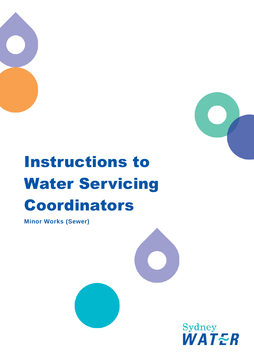



# Instructions to Water Servicing Coordinators

**Minor Works (Sewer)**



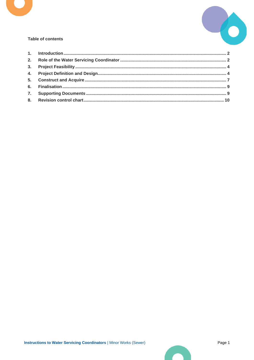



#### **Table of contents**

 $\blacksquare$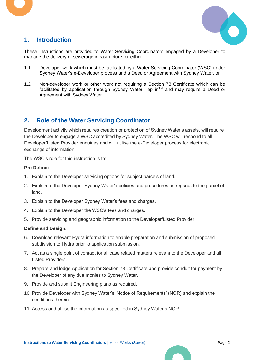



## <span id="page-2-0"></span>**1. Introduction**

These Instructions are provided to Water Servicing Coordinators engaged by a Developer to manage the delivery of sewerage infrastructure for either:

- 1.1 Developer work which must be facilitated by a Water Servicing Coordinator (WSC) under Sydney Water's e-Developer process and a Deed or Agreement with Sydney Water, or
- 1.2 Non-developer work or other work not requiring a Section 73 Certificate which can be facilitated by application through Sydney Water Tap in™ and may require a Deed or Agreement with Sydney Water.

## <span id="page-2-1"></span>**2. Role of the Water Servicing Coordinator**

Development activity which requires creation or protection of Sydney Water's assets, will require the Developer to engage a WSC accredited by Sydney Water. The WSC will respond to all Developer/Listed Provider enquiries and will utilise the e-Developer process for electronic exchange of information.

The WSC's role for this instruction is to:

#### **Pre Define:**

- 1. Explain to the Developer servicing options for subject parcels of land.
- 2. Explain to the Developer Sydney Water's policies and procedures as regards to the parcel of land.
- 3. Explain to the Developer Sydney Water's fees and charges.
- 4. Explain to the Developer the WSC's fees and charges.
- 5. Provide servicing and geographic information to the Developer/Listed Provider.

#### **Define and Design:**

- 6. Download relevant Hydra information to enable preparation and submission of proposed subdivision to Hydra prior to application submission.
- 7. Act as a single point of contact for all case related matters relevant to the Developer and all Listed Providers.
- 8. Prepare and lodge Application for Section 73 Certificate and provide conduit for payment by the Developer of any due monies to Sydney Water.
- 9. Provide and submit Engineering plans as required.
- 10. Provide Developer with Sydney Water's 'Notice of Requirements' (NOR) and explain the conditions therein.
- 11. Access and utilise the information as specified in Sydney Water's NOR.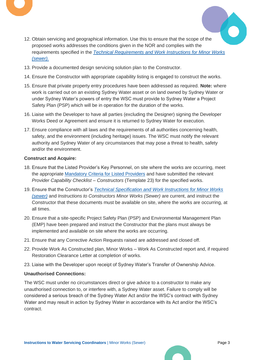



- 12. Obtain servicing and geographical information. Use this to ensure that the scope of the proposed works addresses the conditions given in the NOR and complies with the requirements specified in the *[Technical Requirements and Work Instructions for Minor Works](https://www.sydneywater.com.au/content/dam/sydneywater/documents/provider-information/standards-specifications/technical-requirements-and-work-instructions-for-minor-works-sewer.pdf)  [\(sewer\).](https://www.sydneywater.com.au/content/dam/sydneywater/documents/provider-information/standards-specifications/technical-requirements-and-work-instructions-for-minor-works-sewer.pdf)*
- 13. Provide a documented design servicing solution plan to the Constructor.
- 14. Ensure the Constructor with appropriate capability listing is engaged to construct the works.
- 15. Ensure that private property entry procedures have been addressed as required. **Note:** where work is carried out on an existing Sydney Water asset or on land owned by Sydney Water or under Sydney Water's powers of entry the WSC must provide to Sydney Water a Project Safety Plan (PSP) which will be in operation for the duration of the works.
- 16. Liaise with the Developer to have all parties (excluding the Designer) signing the Developer Works Deed or Agreement and ensure it is returned to Sydney Water for execution.
- 17. Ensure compliance with all laws and the requirements of all authorities concerning health, safety, and the environment (including heritage) issues. The WSC must notify the relevant authority and Sydney Water of any circumstances that may pose a threat to health, safety and/or the environment.

#### **Construct and Acquire:**

- 18. Ensure that the Listed Provider's Key Personnel, on site where the works are occurring, meet the appropriate [Mandatory Criteria for](https://www.sydneywater.com.au/plumbing-building-developing/provider-information/maintain-your-listing.html.html) Listed Providers and have submitted the relevant *Provider Capability Checklist – Constructors* (Template 23) for the specified works.
- 19. Ensure that the Constructor's *Technical Specification [and Work Instructions for Minor Works](https://www.sydneywater.com.au/content/dam/sydneywater/documents/provider-information/standards-specifications/technical-requirements-and-work-instructions-for-minor-works-sewer.pdf)  [\(sewer\)](https://www.sydneywater.com.au/content/dam/sydneywater/documents/provider-information/standards-specifications/technical-requirements-and-work-instructions-for-minor-works-sewer.pdf)* and *Instructions to Constructors Minor Works (Sewer)* are current, and instruct the Constructor that these documents must be available on site, where the works are occurring, at all times.
- 20. Ensure that a site-specific Project Safety Plan (PSP) and Environmental Management Plan (EMP) have been prepared and instruct the Constructor that the plans must always be implemented and available on site where the works are occurring.
- 21. Ensure that any Corrective Action Requests raised are addressed and closed off.
- 22. Provide Work As Constructed plan, Minor Works Work As Constructed report and, if required Restoration Clearance Letter at completion of works.
- 23. Liaise with the Developer upon receipt of Sydney Water's Transfer of Ownership Advice.

#### **Unauthorised Connections:**

The WSC must under no circumstances direct or give advice to a constructor to make any unauthorised connection to, or interfere with, a Sydney Water asset. Failure to comply will be considered a serious breach of the Sydney Water Act and/or the WSC's contract with Sydney Water and may result in action by Sydney Water in accordance with its Act and/or the WSC's contract.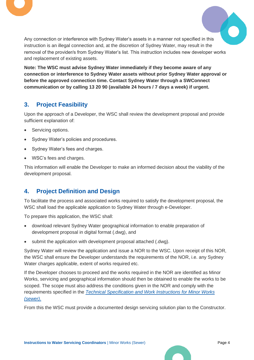



Any connection or interference with Sydney Water's assets in a manner not specified in this instruction is an illegal connection and, at the discretion of Sydney Water, may result in the removal of the provider/s from Sydney Water's list. This instruction includes new developer works and replacement of existing assets.

**Note: The WSC must advise Sydney Water immediately if they become aware of any connection or interference to Sydney Water assets without prior Sydney Water approval or before the approved connection time. Contact Sydney Water through a SWConnect communication or by calling 13 20 90 (available 24 hours / 7 days a week) if urgent.**

# <span id="page-4-0"></span>**3. Project Feasibility**

Upon the approach of a Developer, the WSC shall review the development proposal and provide sufficient explanation of:

- Servicing options.
- Sydney Water's policies and procedures.
- Sydney Water's fees and charges.
- WSC's fees and charges.

This information will enable the Developer to make an informed decision about the viability of the development proposal.

# <span id="page-4-1"></span>**4. Project Definition and Design**

To facilitate the process and associated works required to satisfy the development proposal, the WSC shall load the applicable application to Sydney Water through e-Developer.

To prepare this application, the WSC shall:

- download relevant Sydney Water geographical information to enable preparation of development proposal in digital format (.dwg), and
- submit the application with development proposal attached (.dwg).

Sydney Water will review the application and issue a NOR to the WSC. Upon receipt of this NOR, the WSC shall ensure the Developer understands the requirements of the NOR, i.e. any Sydney Water charges applicable, extent of works required etc.

If the Developer chooses to proceed and the works required in the NOR are identified as Minor Works, servicing and geographical information should then be obtained to enable the works to be scoped. The scope must also address the conditions given in the NOR and comply with the requirements specified in the *[Technical Specification and Work Instructions for Minor Works](https://www.sydneywater.com.au/content/dam/sydneywater/documents/provider-information/standards-specifications/technical-requirements-and-work-instructions-for-minor-works-sewer.pdf)  [\(sewer\)](https://www.sydneywater.com.au/content/dam/sydneywater/documents/provider-information/standards-specifications/technical-requirements-and-work-instructions-for-minor-works-sewer.pdf)*.

From this the WSC must provide a documented design servicing solution plan to the Constructor.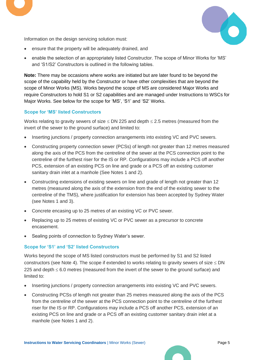

Information on the design servicing solution must:

- ensure that the property will be adequately drained, and
- enable the selection of an appropriately listed Constructor. The scope of Minor Works for 'MS' and 'S1/S2' Constructors is outlined in the following tables.

**Note:** There may be occasions where works are initiated but are later found to be beyond the scope of the capability held by the Constructor or have other complexities that are beyond the scope of Minor Works (MS). Works beyond the scope of MS are considered Major Works and require Constructors to hold S1 or S2 capabilities and are managed under Instructions to WSCs for Major Works. See below for the scope for 'MS', 'S1' and 'S2' Works.

#### **Scope for 'MS' listed Constructors**

Works relating to gravity sewers of size  $\leq$  DN 225 and depth  $\leq$  2.5 metres (measured from the invert of the sewer to the ground surface) and limited to:

- Inserting junctions / property connection arrangements into existing VC and PVC sewers.
- Constructing property connection sewer (PCSs) of length not greater than 12 metres measured along the axis of the PCS from the centreline of the sewer at the PCS connection point to the centreline of the furthest riser for the IS or RP. Configurations may include a PCS off another PCS, extension of an existing PCS on line and grade or a PCS off an existing customer sanitary drain inlet at a manhole (See Notes 1 and 2).
- Constructing extensions of existing sewers on line and grade of length not greater than 12 metres (measured along the axis of the extension from the end of the existing sewer to the centreline of the TMS), where justification for extension has been accepted by Sydney Water (see Notes 1 and 3).
- Concrete encasing up to 25 metres of an existing VC or PVC sewer.
- Replacing up to 25 metres of existing VC or PVC sewer as a precursor to concrete encasement.
- Sealing points of connection to Sydney Water's sewer.

#### **Scope for 'S1' and 'S2' listed Constructors**

Works beyond the scope of MS listed constructors must be performed by S1 and S2 listed constructors (see Note 4). The scope if extended to works relating to gravity sewers of size  $\leq$  DN 225 and depth  $\leq 6.0$  metres (measured from the invert of the sewer to the ground surface) and limited to:

- Inserting junctions / property connection arrangements into existing VC and PVC sewers.
- Constructing PCSs of length not greater than 25 metres measured along the axis of the PCS from the centreline of the sewer at the PCS connection point to the centreline of the furthest riser for the IS or RP. Configurations may include a PCS off another PCS, extension of an existing PCS on line and grade or a PCS off an existing customer sanitary drain inlet at a manhole (see Notes 1 and 2).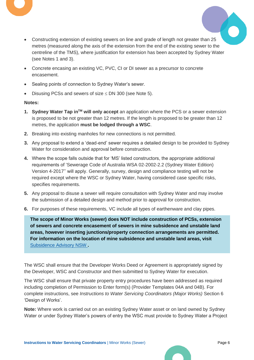

- Constructing extension of existing sewers on line and grade of length not greater than 25 metres (measured along the axis of the extension from the end of the existing sewer to the centreline of the TMS), where justification for extension has been accepted by Sydney Water (see Notes 1 and 3).
- Concrete encasing an existing VC, PVC, CI or DI sewer as a precursor to concrete encasement.
- Sealing points of connection to Sydney Water's sewer.
- Disusing PCSs and sewers of size  $\leq$  DN 300 (see Note 5).

#### **Notes:**

- **1. Sydney Water Tap inTM will only accept** an application where the PCS or a sewer extension is proposed to be not greater than 12 metres. If the length is proposed to be greater than 12 metres, the application **must be lodged through a WSC**.
- **2.** Breaking into existing manholes for new connections is not permitted.
- **3.** Any proposal to extend a 'dead-end' sewer requires a detailed design to be provided to Sydney Water for consideration and approval before construction.
- **4.** Where the scope falls outside that for 'MS' listed constructors, the appropriate additional requirements of 'Sewerage Code of Australia WSA 02-2002-2.2 (Sydney Water Edition) Version 4-2017'' will apply. Generally, survey, design and compliance testing will not be required except where the WSC or Sydney Water, having considered case specific risks, specifies requirements.
- **5.** Any proposal to disuse a sewer will require consultation with Sydney Water and may involve the submission of a detailed design and method prior to approval for construction.
- **6.** For purposes of these requirements, VC include all types of earthenware and clay pipes.

**The scope of Minor Works (sewer) does NOT include construction of PCSs, extension of sewers and concrete encasement of sewers in mine subsidence and unstable land areas, however inserting junctions/property connection arrangements are permitted. For information on the location of mine subsidence and unstable land areas, visit** [Subsidence Advisory NSW](https://www.subsidenceadvisory.nsw.gov.au/) **.**

The WSC shall ensure that the Developer Works Deed or Agreement is appropriately signed by the Developer, WSC and Constructor and then submitted to Sydney Water for execution.

The WSC shall ensure that private property entry procedures have been addressed as required including completion of Permission to Enter form(s) (Provider Templates 04A and 04B). For complete instructions, see *Instructions to Water Servicing Coordinators (Major Works)* Section 6 'Design of Works'.

**Note:** Where work is carried out on an existing Sydney Water asset or on land owned by Sydney Water or under Sydney Water's powers of entry the WSC must provide to Sydney Water a Project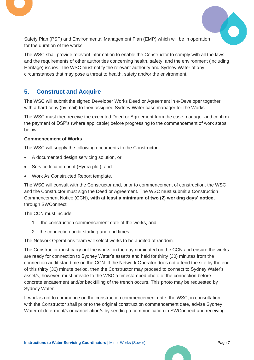



Safety Plan (PSP) and Environmental Management Plan (EMP) which will be in operation for the duration of the works.

The WSC shall provide relevant information to enable the Constructor to comply with all the laws and the requirements of other authorities concerning health, safety, and the environment (including Heritage) issues. The WSC must notify the relevant authority and Sydney Water of any circumstances that may pose a threat to health, safety and/or the environment.

## <span id="page-7-0"></span>**5. Construct and Acquire**

The WSC will submit the signed Developer Works Deed or Agreement in e-Developer together with a hard copy (by mail) to their assigned Sydney Water case manager for the Works.

The WSC must then receive the executed Deed or Agreement from the case manager and confirm the payment of DSP's (where applicable) before progressing to the commencement of work steps below:

#### **Commencement of Works**

The WSC will supply the following documents to the Constructor:

- A documented design servicing solution, or
- Service location print (Hydra plot), and
- Work As Constructed Report template.

The WSC will consult with the Constructor and, prior to commencement of construction, the WSC and the Constructor must sign the Deed or Agreement. The WSC must submit a Construction Commencement Notice (CCN), **with at least a minimum of two (2) working days' notice,** through SWConnect.

The CCN must include:

- 1. the construction commencement date of the works, and
- 2. the connection audit starting and end times.

The Network Operations team will select works to be audited at random.

The Constructor must carry out the works on the day nominated on the CCN and ensure the works are ready for connection to Sydney Water's asset/s and held for thirty (30) minutes from the connection audit start time on the CCN. If the Network Operator does not attend the site by the end of this thirty (30) minute period, then the Constructor may proceed to connect to Sydney Water's asset/s, however, must provide to the WSC a timestamped photo of the connection before concrete encasement and/or backfilling of the trench occurs. This photo may be requested by Sydney Water.

If work is not to commence on the construction commencement date, the WSC, in consultation with the Constructor shall prior to the original construction commencement date, advise Sydney Water of deferment/s or cancellation/s by sending a communication in SWConnect and receiving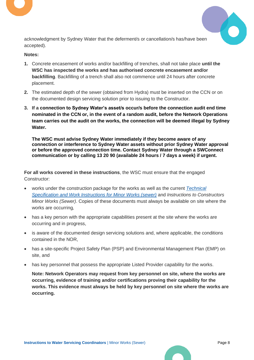



acknowledgment by Sydney Water that the deferment/s or cancellation/s has/have been accepted).

#### **Notes:**

- **1.** Concrete encasement of works and/or backfilling of trenches, shall not take place **until the WSC has inspected the works and has authorised concrete encasement and/or backfilling**. Backfilling of a trench shall also not commence until 24 hours after concrete placement.
- **2.** The estimated depth of the sewer (obtained from Hydra) must be inserted on the CCN or on the documented design servicing solution prior to issuing to the Constructor.
- **3. If a connection to Sydney Water's asset/s occur/s before the connection audit end time nominated in the CCN or, in the event of a random audit, before the Network Operations team carries out the audit on the works, the connection will be deemed illegal by Sydney Water.**

**The WSC must advise Sydney Water immediately if they become aware of any connection or interference to Sydney Water assets without prior Sydney Water approval or before the approved connection time. Contact Sydney Water through a SWConnect communication or by calling 13 20 90 (available 24 hours / 7 days a week) if urgent.**

**For all works covered in these instructions**, the WSC must ensure that the engaged Constructor:

- works under the construction package for the works as well as the current *[Technical](https://www.sydneywater.com.au/content/dam/sydneywater/documents/provider-information/standards-specifications/technical-requirements-and-work-instructions-for-minor-works-sewer.pdf)  [Specification and Work Instructions for Minor Works \(sewer\)](https://www.sydneywater.com.au/content/dam/sydneywater/documents/provider-information/standards-specifications/technical-requirements-and-work-instructions-for-minor-works-sewer.pdf)* and *Instructions to Constructors Minor Works (Sewer)*. Copies of these documents must always be available on site where the works are occurring*,*
- has a key person with the appropriate capabilities present at the site where the works are occurring and in progress,
- is aware of the documented design servicing solutions and, where applicable, the conditions contained in the NOR,
- has a site-specific Project Safety Plan (PSP) and Environmental Management Plan (EMP) on site, and
- has key personnel that possess the appropriate Listed Provider capability for the works.

**Note: Network Operators may request from key personnel on site, where the works are occurring, evidence of training and/or certifications proving their capability for the works. This evidence must always be held by key personnel on site where the works are occurring.**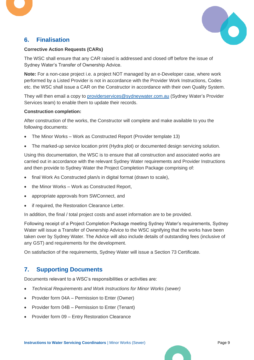



## <span id="page-9-0"></span>**6. Finalisation**

#### **Corrective Action Requests (CARs)**

The WSC shall ensure that any CAR raised is addressed and closed off before the issue of Sydney Water's Transfer of Ownership Advice.

**Note:** For a non-case project i.e. a project NOT managed by an e-Developer case, where work performed by a Listed Provider is not in accordance with the Provider Work Instructions, Codes etc. the WSC shall issue a CAR on the Constructor in accordance with their own Quality System.

They will then email a copy to [providerservices@sydneywater.com.au](mailto:providerservices@sydneywater.com.au) (Sydney Water's Provider Services team) to enable them to update their records.

#### **Construction completion:**

After construction of the works, the Constructor will complete and make available to you the following documents:

- The Minor Works Work as Constructed Report (Provider template 13)
- The marked-up service location print (Hydra plot) or documented design servicing solution.

Using this documentation, the WSC is to ensure that all construction and associated works are carried out in accordance with the relevant Sydney Water requirements and Provider Instructions and then provide to Sydney Water the Project Completion Package comprising of:

- final Work As Constructed plan/s in digital format (drawn to scale),
- the Minor Works Work as Constructed Report,
- appropriate approvals from SWConnect, and
- if required, the Restoration Clearance Letter.

In addition, the final / total project costs and asset information are to be provided.

Following receipt of a Project Completion Package meeting Sydney Water's requirements, Sydney Water will issue a Transfer of Ownership Advice to the WSC signifying that the works have been taken over by Sydney Water. The Advice will also include details of outstanding fees (inclusive of any GST) and requirements for the development.

On satisfaction of the requirements, Sydney Water will issue a Section 73 Certificate.

## <span id="page-9-1"></span>**7. Supporting Documents**

Documents relevant to a WSC's responsibilities or activities are:

- *Technical Requirements and Work Instructions for Minor Works (sewer)*
- Provider form 04A Permission to Enter (Owner)
- Provider form 04B Permission to Enter (Tenant)
- Provider form 09 Entry Restoration Clearance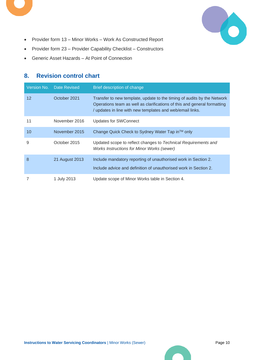

- Provider form 13 Minor Works Work As Constructed Report
- Provider form 23 Provider Capability Checklist Constructors
- Generic Asset Hazards At Point of Connection

# <span id="page-10-0"></span>**8. Revision control chart**

| Version No.       | <b>Date Revised</b> | Brief description of change                                                                                                                                                                                      |
|-------------------|---------------------|------------------------------------------------------------------------------------------------------------------------------------------------------------------------------------------------------------------|
| $12 \overline{ }$ | October 2021        | Transfer to new template, update to the timing of audits by the Network<br>Operations team as well as clarifications of this and general formatting<br>/ updates in line with new templates and web/email links. |
| 11                | November 2016       | Updates for SWConnect                                                                                                                                                                                            |
| 10                | November 2015       | Change Quick Check to Sydney Water Tap in™ only                                                                                                                                                                  |
| 9                 | October 2015        | Updated scope to reflect changes to Technical Requirements and<br><b>Works Instructions for Minor Works (sewer)</b>                                                                                              |
| 8                 | 21 August 2013      | Include mandatory reporting of unauthorised work in Section 2.<br>Include advice and definition of unauthorised work in Section 2.                                                                               |
|                   | 1 July 2013         | Update scope of Minor Works table in Section 4.                                                                                                                                                                  |